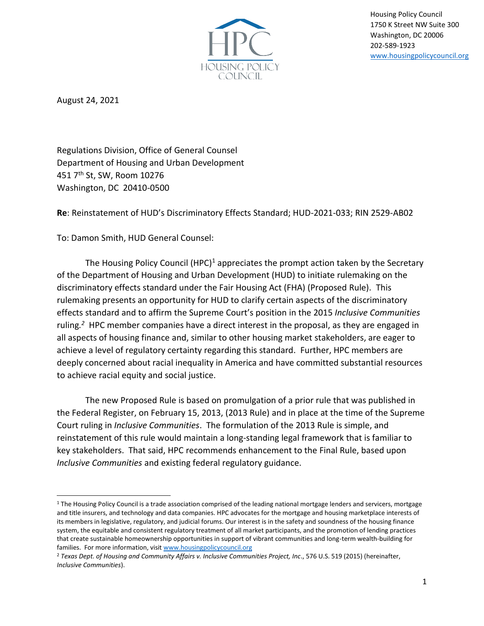

Housing Policy Council 1750 K Street NW Suite 300 Washington, DC 20006 202-589-1923 [www.housingpolicycouncil.org](http://www.housingpolicycouncil.org/)

August 24, 2021

Regulations Division, Office of General Counsel Department of Housing and Urban Development 451 7th St, SW, Room 10276 Washington, DC 20410-0500

**Re**: Reinstatement of HUD's Discriminatory Effects Standard; HUD-2021-033; RIN 2529-AB02

To: Damon Smith, HUD General Counsel:

The Housing Policy Council  $(HPC)^1$  appreciates the prompt action taken by the Secretary of the Department of Housing and Urban Development (HUD) to initiate rulemaking on the discriminatory effects standard under the Fair Housing Act (FHA) (Proposed Rule). This rulemaking presents an opportunity for HUD to clarify certain aspects of the discriminatory effects standard and to affirm the Supreme Court's position in the 2015 *Inclusive Communities* ruling*. <sup>2</sup>* HPC member companies have a direct interest in the proposal, as they are engaged in all aspects of housing finance and, similar to other housing market stakeholders, are eager to achieve a level of regulatory certainty regarding this standard. Further, HPC members are deeply concerned about racial inequality in America and have committed substantial resources to achieve racial equity and social justice.

The new Proposed Rule is based on promulgation of a prior rule that was published in the Federal Register, on February 15, 2013, (2013 Rule) and in place at the time of the Supreme Court ruling in *Inclusive Communities*. The formulation of the 2013 Rule is simple, and reinstatement of this rule would maintain a long-standing legal framework that is familiar to key stakeholders. That said, HPC recommends enhancement to the Final Rule, based upon *Inclusive Communities* and existing federal regulatory guidance.

 $1$  The Housing Policy Council is a trade association comprised of the leading national mortgage lenders and servicers, mortgage and title insurers, and technology and data companies. HPC advocates for the mortgage and housing marketplace interests of its members in legislative, regulatory, and judicial forums. Our interest is in the safety and soundness of the housing finance system, the equitable and consistent regulatory treatment of all market participants, and the promotion of lending practices that create sustainable homeownership opportunities in support of vibrant communities and long-term wealth-building for families. For more information, visit [www.housingpolicycouncil.org](http://www.housingpolicycouncil.org/)

<sup>2</sup> *Texas Dept. of Housing and Community Affairs v. Inclusive Communities Project, Inc*., 576 U.S. 519 (2015) (hereinafter, *Inclusive Communities*).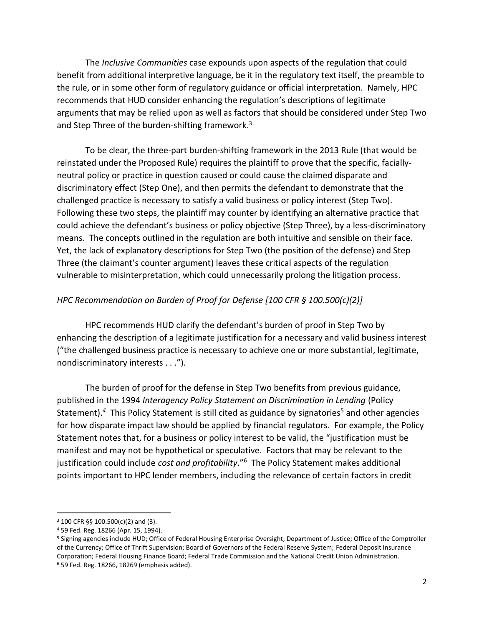The *Inclusive Communities* case expounds upon aspects of the regulation that could benefit from additional interpretive language, be it in the regulatory text itself, the preamble to the rule, or in some other form of regulatory guidance or official interpretation. Namely, HPC recommends that HUD consider enhancing the regulation's descriptions of legitimate arguments that may be relied upon as well as factors that should be considered under Step Two and Step Three of the burden-shifting framework.<sup>3</sup>

To be clear, the three-part burden-shifting framework in the 2013 Rule (that would be reinstated under the Proposed Rule) requires the plaintiff to prove that the specific, faciallyneutral policy or practice in question caused or could cause the claimed disparate and discriminatory effect (Step One), and then permits the defendant to demonstrate that the challenged practice is necessary to satisfy a valid business or policy interest (Step Two). Following these two steps, the plaintiff may counter by identifying an alternative practice that could achieve the defendant's business or policy objective (Step Three), by a less-discriminatory means. The concepts outlined in the regulation are both intuitive and sensible on their face. Yet, the lack of explanatory descriptions for Step Two (the position of the defense) and Step Three (the claimant's counter argument) leaves these critical aspects of the regulation vulnerable to misinterpretation, which could unnecessarily prolong the litigation process.

## *HPC Recommendation on Burden of Proof for Defense [100 CFR § 100.500(c)(2)]*

HPC recommends HUD clarify the defendant's burden of proof in Step Two by enhancing the description of a legitimate justification for a necessary and valid business interest ("the challenged business practice is necessary to achieve one or more substantial, legitimate, nondiscriminatory interests . . .").

The burden of proof for the defense in Step Two benefits from previous guidance, published in the 1994 *Interagency Policy Statement on Discrimination in Lending* (Policy Statement).<sup>4</sup> This Policy Statement is still cited as guidance by signatories<sup>5</sup> and other agencies for how disparate impact law should be applied by financial regulators. For example, the Policy Statement notes that, for a business or policy interest to be valid, the "justification must be manifest and may not be hypothetical or speculative. Factors that may be relevant to the justification could include *cost and profitability*."<sup>6</sup> The Policy Statement makes additional points important to HPC lender members, including the relevance of certain factors in credit

<sup>3</sup> 100 CFR §§ 100.500(c)(2) and (3).

<sup>4</sup> 59 Fed. Reg. 18266 (Apr. 15, 1994).

<sup>5</sup> Signing agencies include HUD; Office of Federal Housing Enterprise Oversight; Department of Justice; Office of the Comptroller of the Currency; Office of Thrift Supervision; Board of Governors of the Federal Reserve System; Federal Deposit Insurance Corporation; Federal Housing Finance Board; Federal Trade Commission and the National Credit Union Administration. <sup>6</sup> 59 Fed. Reg. 18266, 18269 (emphasis added).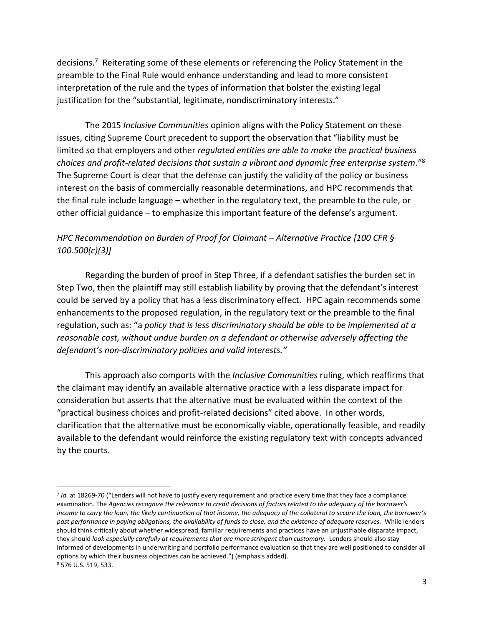decisions.<sup>7</sup> Reiterating some of these elements or referencing the Policy Statement in the preamble to the Final Rule would enhance understanding and lead to more consistent interpretation of the rule and the types of information that bolster the existing legal justification for the "substantial, legitimate, nondiscriminatory interests."

The 2015 *Inclusive Communities* opinion aligns with the Policy Statement on these issues, citing Supreme Court precedent to support the observation that "liability must be limited so that employers and other *regulated entities are able to make the practical business choices and profit-related decisions that sustain a vibrant and dynamic free enterprise system*."<sup>8</sup> The Supreme Court is clear that the defense can justify the validity of the policy or business interest on the basis of commercially reasonable determinations, and HPC recommends that the final rule include language – whether in the regulatory text, the preamble to the rule, or other official guidance – to emphasize this important feature of the defense's argument.

## *HPC Recommendation on Burden of Proof for Claimant – Alternative Practice [100 CFR § 100.500(c)(3)]*

Regarding the burden of proof in Step Three, if a defendant satisfies the burden set in Step Two, then the plaintiff may still establish liability by proving that the defendant's interest could be served by a policy that has a less discriminatory effect. HPC again recommends some enhancements to the proposed regulation, in the regulatory text or the preamble to the final regulation, such as: "a *policy that is less discriminatory should be able to be implemented at a reasonable cost, without undue burden on a defendant or otherwise adversely affecting the defendant's non-discriminatory policies and valid interests."*

This approach also comports with the *Inclusive Communities* ruling, which reaffirms that the claimant may identify an available alternative practice with a less disparate impact for consideration but asserts that the alternative must be evaluated within the context of the "practical business choices and profit-related decisions" cited above. In other words, clarification that the alternative must be economically viable, operationally feasible, and readily available to the defendant would reinforce the existing regulatory text with concepts advanced by the courts.

<sup>&</sup>lt;sup>7</sup> Id. at 18269-70 ("Lenders will not have to justify every requirement and practice every time that they face a compliance examination. The *Agencies recognize the relevance to credit decisions of factors related to the adequacy of the borrower's income to carry the loan, the likely continuation of that income, the adequacy of the collateral to secure the loan, the borrower's past performance in paying obligations, the availability of funds to close, and the existence of adequate reserves.* While lenders should think critically about whether widespread, familiar requirements and practices have an unjustifiable disparate impact, they should *look especially carefully at requirements that are more stringent than customary.* Lenders should also stay informed of developments in underwriting and portfolio performance evaluation so that they are well positioned to consider all options by which their business objectives can be achieved.") (emphasis added). <sup>8</sup> 576 U.S. 519, 533.